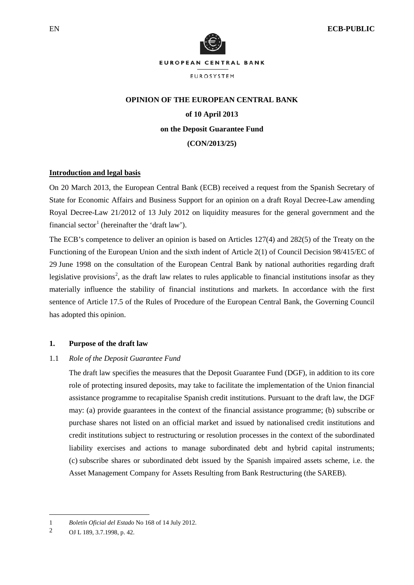

## **OPINION OF THE EUROPEAN CENTRAL BANK**

# **of 10 April 2013 on the Deposit Guarantee Fund**

#### **(CON/2013/25)**

## **Introduction and legal basis**

On 20 March 2013, the European Central Bank (ECB) received a request from the Spanish Secretary of State for Economic Affairs and Business Support for an opinion on a draft Royal Decree-Law amending Royal Decree-Law 21/2012 of 13 July 2012 on liquidity measures for the general government and the financial sector<sup>[1](#page-0-0)</sup> (hereinafter the 'draft law').

The ECB's competence to deliver an opinion is based on Articles 127(4) and 282(5) of the Treaty on the Functioning of the European Union and the sixth indent of Article 2(1) of Council Decision 98/415/EC of 29 June 1998 on the consultation of the European Central Bank by national authorities regarding draft legislative provisions<sup>[2](#page-0-1)</sup>, as the draft law relates to rules applicable to financial institutions insofar as they materially influence the stability of financial institutions and markets. In accordance with the first sentence of Article 17.5 of the Rules of Procedure of the European Central Bank, the Governing Council has adopted this opinion.

#### **1. Purpose of the draft law**

#### 1.1 *Role of the Deposit Guarantee Fund*

The draft law specifies the measures that the Deposit Guarantee Fund (DGF), in addition to its core role of protecting insured deposits, may take to facilitate the implementation of the Union financial assistance programme to recapitalise Spanish credit institutions. Pursuant to the draft law, the DGF may: (a) provide guarantees in the context of the financial assistance programme; (b) subscribe or purchase shares not listed on an official market and issued by nationalised credit institutions and credit institutions subject to restructuring or resolution processes in the context of the subordinated liability exercises and actions to manage subordinated debt and hybrid capital instruments; (c) subscribe shares or subordinated debt issued by the Spanish impaired assets scheme, i.e. the Asset Management Company for Assets Resulting from Bank Restructuring (the SAREB).

<span id="page-0-0"></span> <sup>1</sup> *Boletín Oficial del Estado* No 168 of 14 July 2012.

<span id="page-0-1"></span><sup>2</sup> OJ L 189, 3.7.1998, p. 42.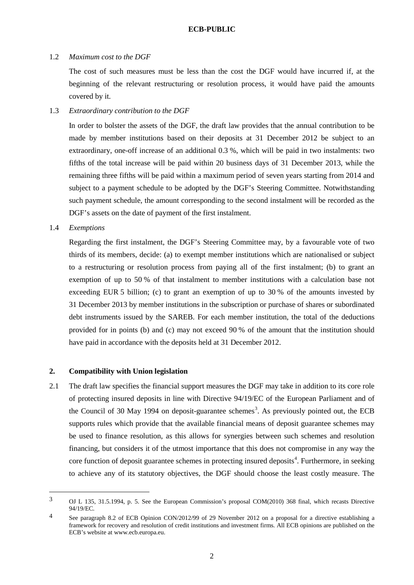#### **ECB-PUBLIC**

## 1.2 *Maximum cost to the DGF*

The cost of such measures must be less than the cost the DGF would have incurred if, at the beginning of the relevant restructuring or resolution process, it would have paid the amounts covered by it.

#### 1.3 *Extraordinary contribution to the DGF*

In order to bolster the assets of the DGF, the draft law provides that the annual contribution to be made by member institutions based on their deposits at 31 December 2012 be subject to an extraordinary, one-off increase of an additional 0.3 %, which will be paid in two instalments: two fifths of the total increase will be paid within 20 business days of 31 December 2013, while the remaining three fifths will be paid within a maximum period of seven years starting from 2014 and subject to a payment schedule to be adopted by the DGF's Steering Committee. Notwithstanding such payment schedule, the amount corresponding to the second instalment will be recorded as the DGF's assets on the date of payment of the first instalment.

#### 1.4 *Exemptions*

Regarding the first instalment, the DGF's Steering Committee may, by a favourable vote of two thirds of its members, decide: (a) to exempt member institutions which are nationalised or subject to a restructuring or resolution process from paying all of the first instalment; (b) to grant an exemption of up to 50 % of that instalment to member institutions with a calculation base not exceeding EUR 5 billion; (c) to grant an exemption of up to 30 % of the amounts invested by 31 December 2013 by member institutions in the subscription or purchase of shares or subordinated debt instruments issued by the SAREB. For each member institution, the total of the deductions provided for in points (b) and (c) may not exceed 90 % of the amount that the institution should have paid in accordance with the deposits held at 31 December 2012.

## **2. Compatibility with Union legislation**

2.1 The draft law specifies the financial support measures the DGF may take in addition to its core role of protecting insured deposits in line with Directive 94/19/EC of the European Parliament and of the Council of [3](#page-1-0)0 May 1994 on deposit-guarantee schemes<sup>3</sup>. As previously pointed out, the ECB supports rules which provide that the available financial means of deposit guarantee schemes may be used to finance resolution, as this allows for synergies between such schemes and resolution financing, but considers it of the utmost importance that this does not compromise in any way the core function of deposit guarantee schemes in protecting insured deposits<sup>[4](#page-1-1)</sup>. Furthermore, in seeking to achieve any of its statutory objectives, the DGF should choose the least costly measure. The

<span id="page-1-0"></span> <sup>3</sup> OJ L 135, 31.5.1994, p. 5. See the European Commission's proposal COM(2010) 368 final, which recasts Directive 94/19/EC.

<span id="page-1-1"></span><sup>4</sup> See paragraph 8.2 of ECB Opinion CON/2012/99 of 29 November 2012 on a proposal for a directive establishing a framework for recovery and resolution of credit institutions and investment firms. All ECB opinions are published on the ECB's website at www.ecb.europa.eu.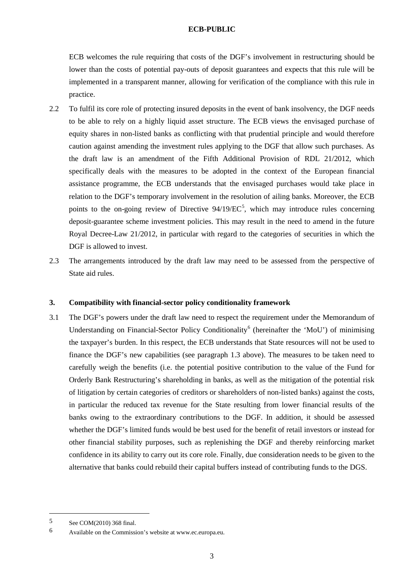## **ECB-PUBLIC**

ECB welcomes the rule requiring that costs of the DGF's involvement in restructuring should be lower than the costs of potential pay-outs of deposit guarantees and expects that this rule will be implemented in a transparent manner, allowing for verification of the compliance with this rule in practice.

- 2.2 To fulfil its core role of protecting insured deposits in the event of bank insolvency, the DGF needs to be able to rely on a highly liquid asset structure. The ECB views the envisaged purchase of equity shares in non-listed banks as conflicting with that prudential principle and would therefore caution against amending the investment rules applying to the DGF that allow such purchases. As the draft law is an amendment of the Fifth Additional Provision of RDL 21/2012, which specifically deals with the measures to be adopted in the context of the European financial assistance programme, the ECB understands that the envisaged purchases would take place in relation to the DGF's temporary involvement in the resolution of ailing banks. Moreover, the ECB points to the on-going review of Directive  $94/19/EC^5$  $94/19/EC^5$ , which may introduce rules concerning deposit-guarantee scheme investment policies. This may result in the need to amend in the future Royal Decree-Law 21/2012, in particular with regard to the categories of securities in which the DGF is allowed to invest.
- 2.3 The arrangements introduced by the draft law may need to be assessed from the perspective of State aid rules.

## **3. Compatibility with financial-sector policy conditionality framework**

3.1 The DGF's powers under the draft law need to respect the requirement under the Memorandum of Understanding on Financial-Sector Policy Conditionality<sup>[6](#page-2-1)</sup> (hereinafter the 'MoU') of minimising the taxpayer's burden. In this respect, the ECB understands that State resources will not be used to finance the DGF's new capabilities (see paragraph 1.3 above). The measures to be taken need to carefully weigh the benefits (i.e. the potential positive contribution to the value of the Fund for Orderly Bank Restructuring's shareholding in banks, as well as the mitigation of the potential risk of litigation by certain categories of creditors or shareholders of non-listed banks) against the costs, in particular the reduced tax revenue for the State resulting from lower financial results of the banks owing to the extraordinary contributions to the DGF. In addition, it should be assessed whether the DGF's limited funds would be best used for the benefit of retail investors or instead for other financial stability purposes, such as replenishing the DGF and thereby reinforcing market confidence in its ability to carry out its core role. Finally, due consideration needs to be given to the alternative that banks could rebuild their capital buffers instead of contributing funds to the DGS.

<span id="page-2-0"></span> $5$  See COM(2010) 368 final.

<span id="page-2-1"></span><sup>6</sup> Available on the Commission's website at www.ec.europa.eu.